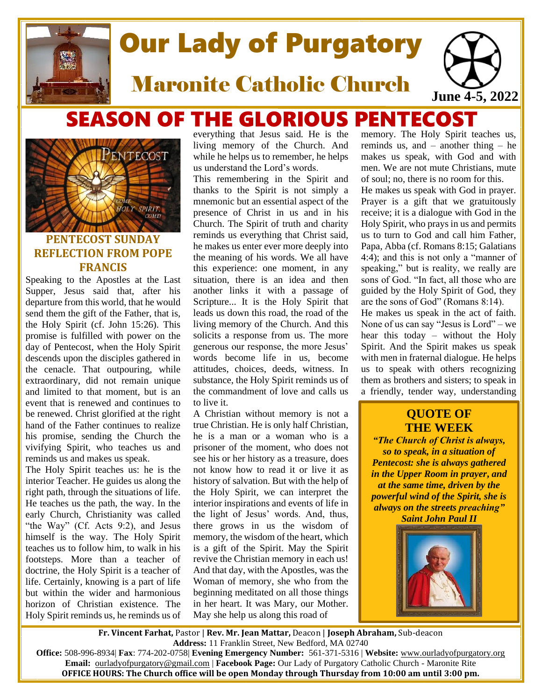

# Our Lady of Purgatory

Maronite Catholic Church

# SEASON OF THE GLORIOUS PENTECOST



# **PENTECOST SUNDAY REFLECTION FROM POPE FRANCIS**

Speaking to the Apostles at the Last Supper, Jesus said that, after his departure from this world, that he would send them the gift of the Father, that is, the Holy Spirit (cf. John 15:26). This promise is fulfilled with power on the day of Pentecost, when the Holy Spirit descends upon the disciples gathered in the cenacle. That outpouring, while extraordinary, did not remain unique and limited to that moment, but is an event that is renewed and continues to be renewed. Christ glorified at the right hand of the Father continues to realize his promise, sending the Church the vivifying Spirit, who teaches us and reminds us and makes us speak.

The Holy Spirit teaches us: he is the interior Teacher. He guides us along the right path, through the situations of life. He teaches us the path, the way. In the early Church, Christianity was called "the Way" (Cf. Acts 9:2), and Jesus himself is the way. The Holy Spirit teaches us to follow him, to walk in his footsteps. More than a teacher of doctrine, the Holy Spirit is a teacher of life. Certainly, knowing is a part of life but within the wider and harmonious horizon of Christian existence. The Holy Spirit reminds us, he reminds us of everything that Jesus said. He is the living memory of the Church. And while he helps us to remember, he helps us understand the Lord's words.

This remembering in the Spirit and thanks to the Spirit is not simply a mnemonic but an essential aspect of the presence of Christ in us and in his Church. The Spirit of truth and charity reminds us everything that Christ said, he makes us enter ever more deeply into the meaning of his words. We all have this experience: one moment, in any situation, there is an idea and then another links it with a passage of Scripture... It is the Holy Spirit that leads us down this road, the road of the living memory of the Church. And this solicits a response from us. The more generous our response, the more Jesus' words become life in us, become attitudes, choices, deeds, witness. In substance, the Holy Spirit reminds us of the commandment of love and calls us to live it.

A Christian without memory is not a true Christian. He is only half Christian, he is a man or a woman who is a prisoner of the moment, who does not see his or her history as a treasure, does not know how to read it or live it as history of salvation. But with the help of the Holy Spirit, we can interpret the interior inspirations and events of life in the light of Jesus' words. And, thus, there grows in us the wisdom of memory, the wisdom of the heart, which is a gift of the Spirit. May the Spirit revive the Christian memory in each us! And that day, with the Apostles, was the Woman of memory, she who from the beginning meditated on all those things in her heart. It was Mary, our Mother. May she help us along this road of

memory. The Holy Spirit teaches us, reminds us, and  $-$  another thing  $-$  he makes us speak, with God and with men. We are not mute Christians, mute of soul; no, there is no room for this. He makes us speak with God in prayer. Prayer is a gift that we gratuitously receive; it is a dialogue with God in the Holy Spirit, who prays in us and permits us to turn to God and call him Father, Papa, Abba (cf. Romans 8:15; Galatians 4:4); and this is not only a "manner of speaking," but is reality, we really are sons of God. "In fact, all those who are guided by the Holy Spirit of God, they are the sons of God" (Romans 8:14). He makes us speak in the act of faith. None of us can say "Jesus is Lord" – we hear this today – without the Holy Spirit. And the Spirit makes us speak

**June 4-5, 2022**

us to speak with others recognizing them as brothers and sisters; to speak in a friendly, tender way, understanding

with men in fraternal dialogue. He helps

# **QUOTE OF THE WEEK**

*"The Church of Christ is always, so to speak, in a situation of Pentecost: she is always gathered in the Upper Room in prayer***,** *and at the same time, driven by the powerful wind of the Spirit, she is always on the streets preaching" Saint John Paul II*



**Fr. Vincent Farhat,** Pastor | **Rev. Mr. Jean Mattar,** Deacon | **Joseph Abraham,** Sub-deacon **Address:** 11 Franklin Street, New Bedford, MA 02740

**Office:** 508-996-8934| **Fax**: 774-202-0758| **Evening Emergency Number:** 561-371-5316 | **Website:** [www.ourladyofpurgatory.org](http://www.ourladyofpurgatory.org/) **Email:** [ourladyofpurgatory@gmail.com](mailto:ourladyofpurgatory@verizon.net) | **Facebook Page:** Our Lady of Purgatory Catholic Church - Maronite Rite **OFFICE HOURS: The Church office will be open Monday through Thursday from 10:00 am until 3:00 pm.**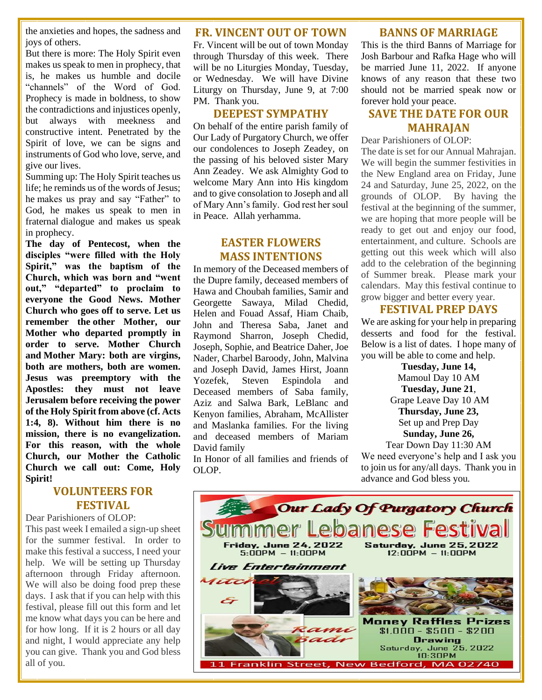the anxieties and hopes, the sadness and joys of others.

But there is more: The Holy Spirit even makes us speak to men in prophecy, that is, he makes us humble and docile "channels" of the Word of God. Prophecy is made in boldness, to show the contradictions and injustices openly, but always with meekness and constructive intent. Penetrated by the Spirit of love, we can be signs and instruments of God who love, serve, and give our lives.

Summing up: The Holy Spirit teaches us life; he reminds us of the words of Jesus; he makes us pray and say "Father" to God, he makes us speak to men in fraternal dialogue and makes us speak in prophecy.

**The day of Pentecost, when the disciples "were filled with the Holy Spirit," was the baptism of the Church, which was born and "went out," "departed" to proclaim to everyone the Good News. Mother Church who goes off to serve. Let us remember the other Mother, our Mother who departed promptly in order to serve. Mother Church and Mother Mary: both are virgins, both are mothers, both are women. Jesus was preemptory with the Apostles: they must not leave Jerusalem before receiving the power of the Holy Spirit from above (cf. Acts 1:4, 8). Without him there is no mission, there is no evangelization. For this reason, with the whole Church, our Mother the Catholic Church we call out: Come, Holy Spirit!**

# **VOLUNTEERS FOR FESTIVAL**

Dear Parishioners of OLOP: This past week I emailed a sign-up sheet for the summer festival. In order to make this festival a success, I need your help. We will be setting up Thursday afternoon through Friday afternoon. We will also be doing food prep these days. I ask that if you can help with this festival, please fill out this form and let me know what days you can be here and for how long. If it is 2 hours or all day and night, I would appreciate any help you can give. Thank you and God bless all of you.

#### **FR. VINCENT OUT OF TOWN**

Fr. Vincent will be out of town Monday through Thursday of this week. There will be no Liturgies Monday, Tuesday, or Wednesday. We will have Divine Liturgy on Thursday, June 9, at 7:00 PM. Thank you.

#### **DEEPEST SYMPATHY**

On behalf of the entire parish family of Our Lady of Purgatory Church, we offer our condolences to Joseph Zeadey, on the passing of his beloved sister Mary Ann Zeadey. We ask Almighty God to welcome Mary Ann into His kingdom and to give consolation to Joseph and all of Mary Ann's family. God rest her soul in Peace. Allah yerhamma.

# **EASTER FLOWERS MASS INTENTIONS**

In memory of the Deceased members of the Dupre family, deceased members of Hawa and Choubah families, Samir and Georgette Sawaya, Milad Chedid, Helen and Fouad Assaf, Hiam Chaib, John and Theresa Saba, Janet and Raymond Sharron, Joseph Chedid, Joseph, Sophie, and Beatrice Daher, Joe Nader, Charbel Baroody, John, Malvina and Joseph David, James Hirst, Joann Yozefek, Steven Espindola and Deceased members of Saba family, Aziz and Salwa Bark, LeBlanc and Kenyon families, Abraham, McAllister and Maslanka families. For the living and deceased members of Mariam David family

In Honor of all families and friends of OLOP.

#### **BANNS OF MARRIAGE**

This is the third Banns of Marriage for Josh Barbour and Rafka Hage who will be married June 11, 2022. If anyone knows of any reason that these two should not be married speak now or forever hold your peace.

# **SAVE THE DATE FOR OUR MAHRAJAN**

Dear Parishioners of OLOP:

The date is set for our Annual Mahrajan. We will begin the summer festivities in the New England area on Friday, June 24 and Saturday, June 25, 2022, on the grounds of OLOP. By having the festival at the beginning of the summer, we are hoping that more people will be ready to get out and enjoy our food, entertainment, and culture. Schools are getting out this week which will also add to the celebration of the beginning of Summer break. Please mark your calendars. May this festival continue to grow bigger and better every year.

#### **FESTIVAL PREP DAYS**

We are asking for your help in preparing desserts and food for the festival. Below is a list of dates. I hope many of you will be able to come and help.

> **Tuesday, June 14,** Mamoul Day 10 AM **Tuesday, June 21**, Grape Leave Day 10 AM **Thursday, June 23,** Set up and Prep Day **Sunday, June 26,**

Tear Down Day 11:30 AM We need everyone's help and I ask you to join us for any/all days. Thank you in advance and God bless you.

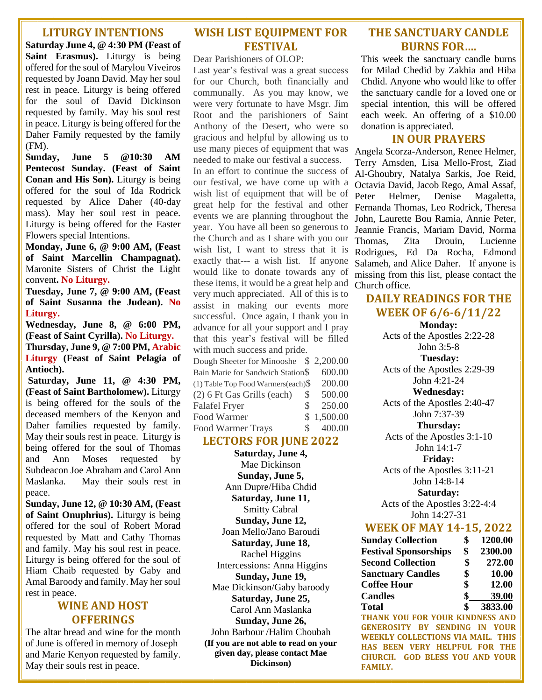#### **LITURGY INTENTIONS**

**Saturday June 4, @ 4:30 PM (Feast of Saint Erasmus).** Liturgy is being offered for the soul of Marylou Viveiros requested by Joann David. May her soul rest in peace. Liturgy is being offered for the soul of David Dickinson requested by family. May his soul rest in peace. Liturgy is being offered for the Daher Family requested by the family (FM).

**Sunday, June 5 @10:30 AM Pentecost Sunday. (Feast of Saint Conan and His Son).** Liturgy is being offered for the soul of Ida Rodrick requested by Alice Daher (40-day mass). May her soul rest in peace. Liturgy is being offered for the Easter Flowers special Intentions.

**Monday, June 6, @ 9:00 AM, (Feast of Saint Marcellin Champagnat).**  Maronite Sisters of Christ the Light convent**. No Liturgy.**

**Tuesday, June 7, @ 9:00 AM, (Feast of Saint Susanna the Judean). No Liturgy.**

**Wednesday, June 8, @ 6:00 PM, (Feast of Saint Cyrilla). No Liturgy. Thursday, June 9, @ 7:00 PM, Arabic Liturgy (Feast of Saint Pelagia of Antioch).**

**Saturday, June 11, @ 4:30 PM, (Feast of Saint Bartholomew).** Liturgy is being offered for the souls of the deceased members of the Kenyon and Daher families requested by family. May their souls rest in peace. Liturgy is being offered for the soul of Thomas and Ann Moses requested by Subdeacon Joe Abraham and Carol Ann Maslanka. May their souls rest in peace.

**Sunday, June 12, @ 10:30 AM, (Feast of Saint Onuphrius).** Liturgy is being offered for the soul of Robert Morad requested by Matt and Cathy Thomas and family. May his soul rest in peace. Liturgy is being offered for the soul of Hiam Chaib requested by Gaby and Amal Baroody and family. May her soul rest in peace.

#### **WINE AND HOST OFFERINGS**

The altar bread and wine for the month of June is offered in memory of Joseph and Marie Kenyon requested by family. May their souls rest in peace.

# **WISH LIST EQUIPMENT FOR FESTIVAL**

Dear Parishioners of OLOP:

Last year's festival was a great success for our Church, both financially and communally. As you may know, we were very fortunate to have Msgr. Jim Root and the parishioners of Saint Anthony of the Desert, who were so gracious and helpful by allowing us to use many pieces of equipment that was needed to make our festival a success.

In an effort to continue the success of our festival, we have come up with a wish list of equipment that will be of great help for the festival and other events we are planning throughout the year. You have all been so generous to the Church and as I share with you our wish list, I want to stress that it is exactly that--- a wish list. If anyone would like to donate towards any of these items, it would be a great help and very much appreciated. All of this is to assist in making our events more successful. Once again, I thank you in advance for all your support and I pray that this year's festival will be filled with much success and pride.

| Dough Sheeter for Minooshe \$2,200.00  |     |          |
|----------------------------------------|-----|----------|
| Bain Marie for Sandwich Station\$      |     | 600.00   |
| $(1)$ Table Top Food Warmers(each) $\$ |     | 200.00   |
| (2) 6 Ft Gas Grills (each)             | S   | 500.00   |
| <b>Falafel Fryer</b>                   | S   | 250.00   |
| Food Warmer                            | SS. | 1,500.00 |
| <b>Food Warmer Trays</b>               | S.  | 400.00   |

### **LECTORS FOR JUNE 2022**

**Saturday, June 4,**  Mae Dickinson **Sunday, June 5,**  Ann Dupre/Hiba Chdid **Saturday, June 11,**  Smitty Cabral **Sunday, June 12,**  Joan Mello/Jano Baroudi **Saturday, June 18,**  Rachel Higgins Intercessions: Anna Higgins **Sunday, June 19,**  Mae Dickinson/Gaby baroody **Saturday, June 25,**  Carol Ann Maslanka **Sunday, June 26,**  John Barbour /Halim Choubah **(If you are not able to read on your given day, please contact Mae Dickinson)**

# **THE SANCTUARY CANDLE BURNS FOR….**

This week the sanctuary candle burns for Milad Chedid by Zakhia and Hiba Chdid. Anyone who would like to offer the sanctuary candle for a loved one or special intention, this will be offered each week. An offering of a \$10.00 donation is appreciated.

#### **IN OUR PRAYERS**

Angela Scorza-Anderson, Renee Helmer, Terry Amsden, Lisa Mello-Frost, Ziad Al-Ghoubry, Natalya Sarkis, Joe Reid, Octavia David, Jacob Rego, Amal Assaf, Peter Helmer, Denise Magaletta, Fernanda Thomas, Leo Rodrick, Theresa John, Laurette Bou Ramia, Annie Peter, Jeannie Francis, Mariam David, Norma Thomas, Zita Drouin, Lucienne Rodrigues, Ed Da Rocha, Edmond Salameh, and Alice Daher. If anyone is missing from this list, please contact the Church office.

# **DAILY READINGS FOR THE WEEK OF 6/6-6/11/22**

**Monday:**  Acts of the Apostles 2:22-28 John 3:5-8 **Tuesday:**  Acts of the Apostles 2:29-39 John 4:21-24 **Wednesday:**  Acts of the Apostles 2:40-47 John 7:37-39

#### **Thursday:**

Acts of the Apostles 3:1-10 John 14:1-7

**Friday:** 

Acts of the Apostles 3:11-21 John 14:8-14

**Saturday:** 

Acts of the Apostles 3:22-4:4 John 14:27-31

#### **WEEK OF MAY 14-15, 2022**

| <b>Sunday Collection</b>     | \$<br>1200.00 |
|------------------------------|---------------|
| <b>Festival Sponsorships</b> | \$<br>2300.00 |
| <b>Second Collection</b>     | \$<br>272.00  |
| <b>Sanctuary Candles</b>     | \$<br>10.00   |
| <b>Coffee Hour</b>           | \$<br>12.00   |
| <b>Candles</b>               | \$<br>39.00   |
| <b>Total</b>                 | \$<br>3833.00 |

**THANK YOU FOR YOUR KINDNESS AND GENEROSITY BY SENDING IN YOUR WEEKLY COLLECTIONS VIA MAIL. THIS HAS BEEN VERY HELPFUL FOR THE CHURCH. GOD BLESS YOU AND YOUR FAMILY.**